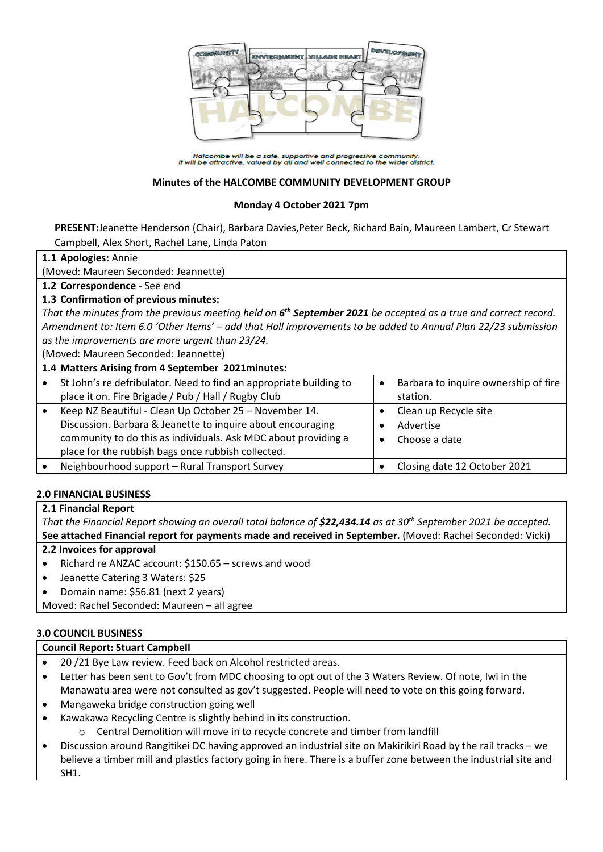

Halcombe will be a safe, supportive and progressive community.<br>It will be attractive, valued by all and well connected to the wider district.

#### **Minutes of the HALCOMBE COMMUNITY DEVELOPMENT GROUP**

#### **Monday 4 October 2021 7pm**

**PRESENT:**Jeanette Henderson (Chair), Barbara Davies,Peter Beck, Richard Bain, Maureen Lambert, Cr Stewart Campbell, Alex Short, Rachel Lane, Linda Paton

#### **1.1 Apologies:** Annie

(Moved: Maureen Seconded: Jeannette)

**1.2 Correspondence** - See end

### **1.3 Confirmation of previous minutes:**

That the minutes from the previous meeting held on 6<sup>th</sup> September 2021 be accepted as a true and correct record. *Amendment to: Item 6.0 'Other Items' – add that Hall improvements to be added to Annual Plan 22/23 submission as the improvements are more urgent than 23/24.*

(Moved: Maureen Seconded: Jeannette)

| 1.4 Matters Arising from 4 September 2021minutes:                                                                                                                                                                                             |  |                                                     |  |  |
|-----------------------------------------------------------------------------------------------------------------------------------------------------------------------------------------------------------------------------------------------|--|-----------------------------------------------------|--|--|
| St John's re defribulator. Need to find an appropriate building to<br>place it on. Fire Brigade / Pub / Hall / Rugby Club                                                                                                                     |  | Barbara to inquire ownership of fire<br>station.    |  |  |
| Keep NZ Beautiful - Clean Up October 25 - November 14.<br>Discussion. Barbara & Jeanette to inquire about encouraging<br>community to do this as individuals. Ask MDC about providing a<br>place for the rubbish bags once rubbish collected. |  | Clean up Recycle site<br>Advertise<br>Choose a date |  |  |
| Neighbourhood support - Rural Transport Survey                                                                                                                                                                                                |  | Closing date 12 October 2021                        |  |  |

#### **2.0 FINANCIAL BUSINESS**

#### **2.1 Financial Report**

*That the Financial Report showing an overall total balance of \$22,434.14 as at 30 th September 2021 be accepted.* **See attached Financial report for payments made and received in September.** (Moved: Rachel Seconded: Vicki)

#### **2.2 Invoices for approval**

- Richard re ANZAC account: \$150.65 screws and wood
- Jeanette Catering 3 Waters: \$25
- Domain name: \$56.81 (next 2 years)

Moved: Rachel Seconded: Maureen – all agree

#### **3.0 COUNCIL BUSINESS**

#### **Council Report: Stuart Campbell**

- 20 /21 Bye Law review. Feed back on Alcohol restricted areas.
- Letter has been sent to Gov't from MDC choosing to opt out of the 3 Waters Review. Of note, Iwi in the Manawatu area were not consulted as gov't suggested. People will need to vote on this going forward.
- Mangaweka bridge construction going well
- Kawakawa Recycling Centre is slightly behind in its construction.
	- o Central Demolition will move in to recycle concrete and timber from landfill
- Discussion around Rangitikei DC having approved an industrial site on Makirikiri Road by the rail tracks we believe a timber mill and plastics factory going in here. There is a buffer zone between the industrial site and SH1.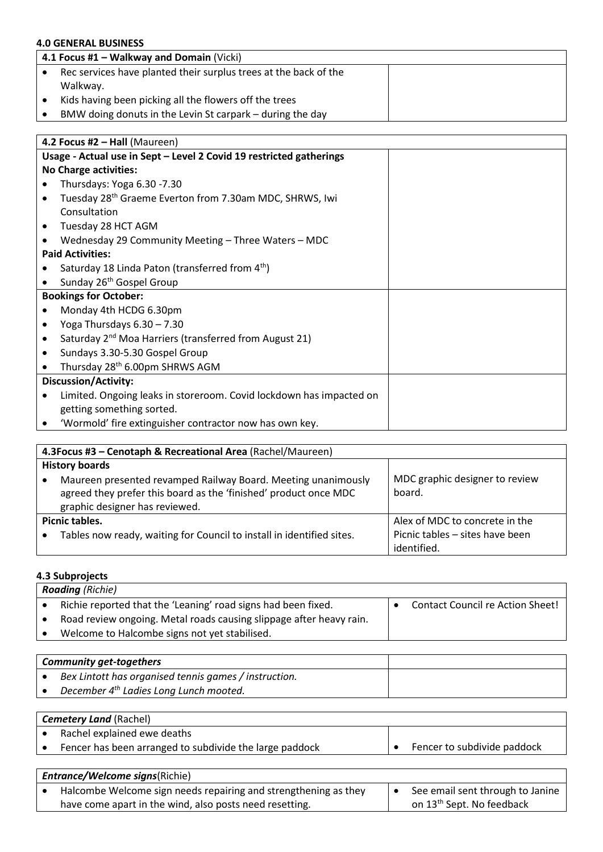# **4.0 GENERAL BUSINESS**

| 4.1 Focus #1 – Walkway and Domain (Vicki)                        |  |  |
|------------------------------------------------------------------|--|--|
| Rec services have planted their surplus trees at the back of the |  |  |
| Walkway.                                                         |  |  |
| Kids having been picking all the flowers off the trees           |  |  |
| BMW doing donuts in the Levin St carpark – during the day        |  |  |

| 4.2 Focus #2 - Hall (Maureen)                                       |  |  |
|---------------------------------------------------------------------|--|--|
| Usage - Actual use in Sept - Level 2 Covid 19 restricted gatherings |  |  |
| <b>No Charge activities:</b>                                        |  |  |
| Thursdays: Yoga 6.30 -7.30                                          |  |  |
| Tuesday 28 <sup>th</sup> Graeme Everton from 7.30am MDC, SHRWS, Iwi |  |  |
| Consultation                                                        |  |  |
| Tuesday 28 HCT AGM                                                  |  |  |
| Wednesday 29 Community Meeting - Three Waters - MDC                 |  |  |
| <b>Paid Activities:</b>                                             |  |  |
| Saturday 18 Linda Paton (transferred from 4 <sup>th</sup> )         |  |  |
| Sunday 26 <sup>th</sup> Gospel Group                                |  |  |
| <b>Bookings for October:</b>                                        |  |  |
| Monday 4th HCDG 6.30pm                                              |  |  |
| Yoga Thursdays 6.30 - 7.30                                          |  |  |
| Saturday 2 <sup>nd</sup> Moa Harriers (transferred from August 21)  |  |  |
| Sundays 3.30-5.30 Gospel Group                                      |  |  |
| Thursday 28 <sup>th</sup> 6.00pm SHRWS AGM                          |  |  |
| <b>Discussion/Activity:</b>                                         |  |  |
| Limited. Ongoing leaks in storeroom. Covid lockdown has impacted on |  |  |
| getting something sorted.                                           |  |  |
| 'Wormold' fire extinguisher contractor now has own key.             |  |  |
|                                                                     |  |  |

| 4.3 Focus #3 - Cenotaph & Recreational Area (Rachel/Maureen)                                                                                                        |                                                |  |  |  |
|---------------------------------------------------------------------------------------------------------------------------------------------------------------------|------------------------------------------------|--|--|--|
| <b>History boards</b>                                                                                                                                               |                                                |  |  |  |
| Maureen presented revamped Railway Board. Meeting unanimously<br>agreed they prefer this board as the 'finished' product once MDC<br>graphic designer has reviewed. | MDC graphic designer to review<br>board.       |  |  |  |
| Picnic tables.                                                                                                                                                      | Alex of MDC to concrete in the                 |  |  |  |
| Tables now ready, waiting for Council to install in identified sites.                                                                                               | Picnic tables - sites have been<br>identified. |  |  |  |

# **4.3 Subprojects**

| <b>Roading</b> (Richie)                                             |  |                                  |  |  |
|---------------------------------------------------------------------|--|----------------------------------|--|--|
| Richie reported that the 'Leaning' road signs had been fixed.       |  | Contact Council re Action Sheet! |  |  |
| Road review ongoing. Metal roads causing slippage after heavy rain. |  |                                  |  |  |
| Welcome to Halcombe signs not yet stabilised.                       |  |                                  |  |  |
|                                                                     |  |                                  |  |  |

| <b>Community get-togethers</b> |                                                       |  |
|--------------------------------|-------------------------------------------------------|--|
|                                | Bex Lintott has organised tennis games / instruction. |  |
|                                | December 4 <sup>th</sup> Ladies Long Lunch mooted.    |  |

| <b>Cemetery Land (Rachel)</b> |                                                         |  |                             |
|-------------------------------|---------------------------------------------------------|--|-----------------------------|
|                               | Rachel explained ewe deaths                             |  |                             |
|                               | Fencer has been arranged to subdivide the large paddock |  | Fencer to subdivide paddock |

| <b>Entrance/Welcome signs(Richie)</b> |                                                                 |  |                                       |  |
|---------------------------------------|-----------------------------------------------------------------|--|---------------------------------------|--|
|                                       | Halcombe Welcome sign needs repairing and strengthening as they |  | See email sent through to Janine      |  |
|                                       | have come apart in the wind, also posts need resetting.         |  | on 13 <sup>th</sup> Sept. No feedback |  |